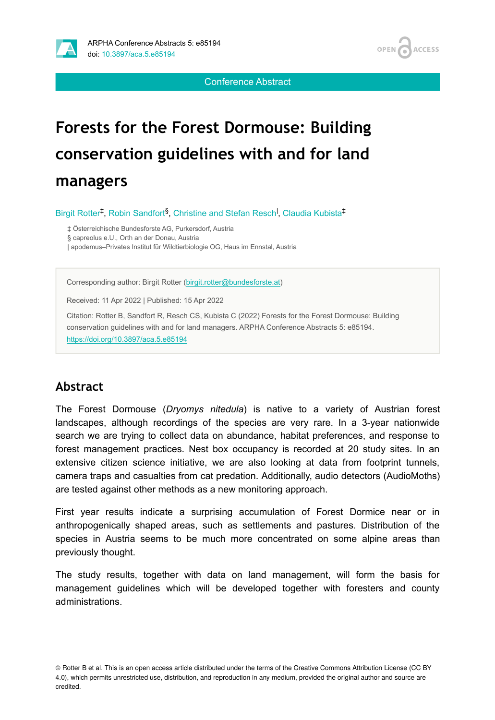

Conference Abstract

# **Forests for the Forest Dormouse: Building conservation guidelines with and for land managers**

Birgit Rotter<sup>‡</sup>, Robin Sandfort<sup>§</sup>, Christine and Stefan Resch<sup>I</sup>, Claudia Kubista<sup>‡</sup>

‡ Österreichische Bundesforste AG, Purkersdorf, Austria

§ capreolus e.U., Orth an der Donau, Austria

| apodemus–Privates Institut für Wildtierbiologie OG, Haus im Ennstal, Austria

Corresponding author: Birgit Rotter ([birgit.rotter@bundesforste.at\)](mailto:birgit.rotter@bundesforste.at)

Received: 11 Apr 2022 | Published: 15 Apr 2022

Citation: Rotter B, Sandfort R, Resch CS, Kubista C (2022) Forests for the Forest Dormouse: Building conservation guidelines with and for land managers. ARPHA Conference Abstracts 5: e85194. <https://doi.org/10.3897/aca.5.e85194>

#### **Abstract**

The Forest Dormouse (*Dryomys nitedula*) is native to a variety of Austrian forest landscapes, although recordings of the species are very rare. In a 3-year nationwide search we are trying to collect data on abundance, habitat preferences, and response to forest management practices. Nest box occupancy is recorded at 20 study sites. In an extensive citizen science initiative, we are also looking at data from footprint tunnels, camera traps and casualties from cat predation. Additionally, audio detectors (AudioMoths) are tested against other methods as a new monitoring approach.

First year results indicate a surprising accumulation of Forest Dormice near or in anthropogenically shaped areas, such as settlements and pastures. Distribution of the species in Austria seems to be much more concentrated on some alpine areas than previously thought.

The study results, together with data on land management, will form the basis for management guidelines which will be developed together with foresters and county administrations.

© Rotter B et al. This is an open access article distributed under the terms of the Creative Commons Attribution License (CC BY 4.0), which permits unrestricted use, distribution, and reproduction in any medium, provided the original author and source are credited.